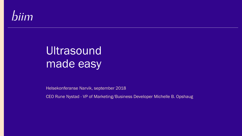# biim

Biim Ultrasound AS

# Ultrasound made easy

Helsekonferanse Narvik, september 2018

CEO Rune Nystad - VP of Marketing/Business Developer Michelle B. Opshaug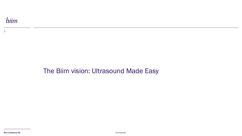#### 2

### The Biim vision: Ultrasound Made Easy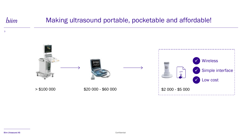#### biim Making ultrasound portable, pocketable and affordable!



3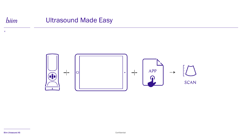#### biim Ultrasound Made Easy



4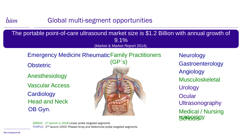#### biim Global multi-segment opportunities

#### The portable point-of-care ultrasound market size is \$1.2 Billion with annual growth of  $9.1\%$ (Market & Market Report 2014).

### Emergency Medicine Rheumatic Family Practitioners

Anesthesiology

Vascular Access

**Cardiology** Head and Neck OB Gyn.



Angiology Obstetric (GPS) Gastroenterology Musculoskeletal **Urology Neurology Ocular** Ultrasonography Medical / Nursing **Radiolegy** 

GREEN: 1<sup>st</sup> launch in 2018 Linear probe targeted segments PURPLE: 2<sup>nd</sup> launch 2019- Phased Array and Abdominal probe targeted segments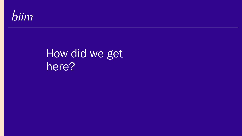

Biim Ultrasound AS

# How did we get here?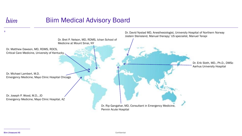## biim

### Biim Medical Advisory Board



Biim Ultrasound AS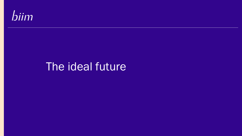

## The ideal future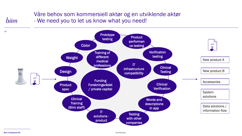#### Våre behov som kommersiell aktør og en utviklende aktør - We need you to let us know what you need!



#### Biim Ultrasound AS

biim

Confidential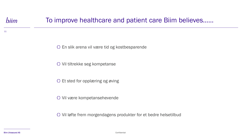11

### To improve healthcare and patient care Biim believes……

En slik arena vil være tid og kostbesparende

Vil tiltrekke seg kompetanse

Et sted for opplæring og øving

Vil være kompetansehevende

Vil løfte frem morgendagens produkter for et bedre helsetilbud

Biim Ultrasound AS